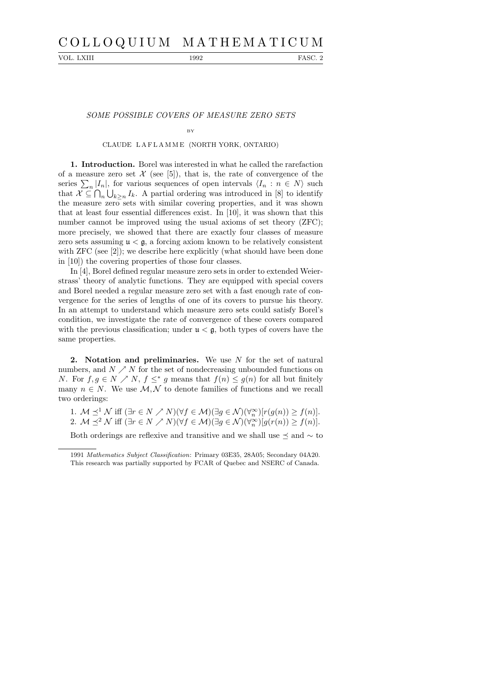# C O L L O Q U I U M M A T H E M A T I C U M

VOL. LXIII 1992 FASC. 2

## SOME POSSIBLE COVERS OF MEASURE ZERO SETS

BY

#### CLAUDE L A F L A M M E (NORTH YORK, ONTARIO)

1. Introduction. Borel was interested in what he called the rarefaction of a measure zero set  $\mathcal X$  (see [5]), that is, the rate of convergence of the series  $\sum_{n}|I_n|$ , for various sequences of open intervals  $\langle I_n : n \in N \rangle$  such that  $\mathcal{X} \subseteq \bigcap_n \bigcup_{k \geq n} I_k$ . A partial ordering was introduced in [8] to identify the measure zero sets with similar covering properties, and it was shown that at least four essential differences exist. In [10], it was shown that this number cannot be improved using the usual axioms of set theory (ZFC); more precisely, we showed that there are exactly four classes of measure zero sets assuming  $\mu < \mathfrak{g}$ , a forcing axiom known to be relatively consistent with ZFC (see [2]); we describe here explicitly (what should have been done in [10]) the covering properties of those four classes.

In [4], Borel defined regular measure zero sets in order to extended Weierstrass' theory of analytic functions. They are equipped with special covers and Borel needed a regular measure zero set with a fast enough rate of convergence for the series of lengths of one of its covers to pursue his theory. In an attempt to understand which measure zero sets could satisfy Borel's condition, we investigate the rate of convergence of these covers compared with the previous classification; under  $\mu < \mathfrak{g}$ , both types of covers have the same properties.

2. Notation and preliminaries. We use  $N$  for the set of natural numbers, and  $N \nearrow N$  for the set of nondecreasing unbounded functions on N. For  $f, g \in N \nearrow N$ ,  $f \leq^* g$  means that  $f(n) \leq g(n)$  for all but finitely many  $n \in N$ . We use  $\mathcal{M}, \mathcal{N}$  to denote families of functions and we recall two orderings:

1. M  $\preceq^1 \mathcal{N}$  iff  $(\exists r \in N \nearrow N)(\forall f \in \mathcal{M})(\exists g \in \mathcal{N})(\forall_n^{\infty})[r(g(n)) \geq f(n)]$ . 2. M  $\preceq^2 \mathcal{N}$  iff  $(\exists r \in N \nearrow N)(\forall f \in \mathcal{M})(\exists g \in \mathcal{N})(\forall_n^{\infty})[g(r(n)) \ge f(n)]$ .

Both orderings are reflexive and transitive and we shall use  $\leq$  and  $\sim$  to

<sup>1991</sup> Mathematics Subject Classification: Primary 03E35, 28A05; Secondary 04A20. This research was partially supported by FCAR of Quebec and NSERC of Canada.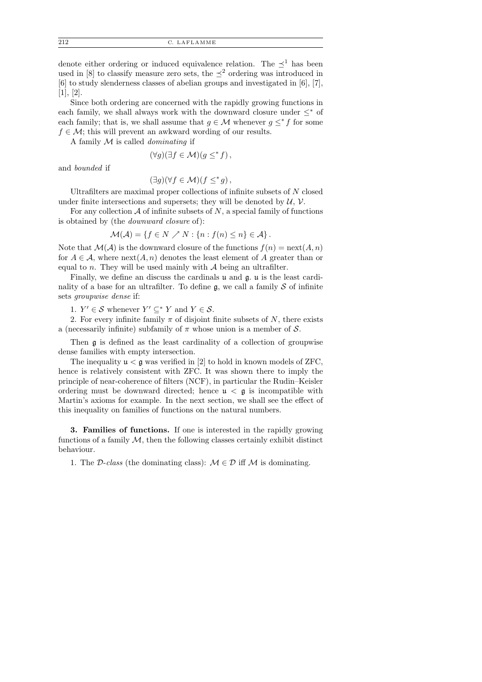212 C. LAFLAMME

denote either ordering or induced equivalence relation. The  $\preceq^1$  has been used in [8] to classify measure zero sets, the  $\leq^2$  ordering was introduced in [6] to study slenderness classes of abelian groups and investigated in [6], [7], [1], [2].

Since both ordering are concerned with the rapidly growing functions in each family, we shall always work with the downward closure under  $\leq^*$  of each family; that is, we shall assume that  $g \in \mathcal{M}$  whenever  $g \leq^* f$  for some  $f \in \mathcal{M}$ ; this will prevent an awkward wording of our results.

A family  $M$  is called *dominating* if

$$
(\forall g)(\exists f \in \mathcal{M})(g \leq^* f)\,,
$$

and bounded if

$$
(\exists g)(\forall f \in \mathcal{M})(f \leq^* g),
$$

Ultrafilters are maximal proper collections of infinite subsets of  $N$  closed under finite intersections and supersets; they will be denoted by  $U, V$ .

For any collection  $A$  of infinite subsets of  $N$ , a special family of functions is obtained by (the downward closure of):

$$
\mathcal{M}(\mathcal{A}) = \{ f \in N \nearrow N : \{ n : f(n) \le n \} \in \mathcal{A} \}.
$$

Note that  $\mathcal{M}(\mathcal{A})$  is the downward closure of the functions  $f(n) = \text{next}(A, n)$ for  $A \in \mathcal{A}$ , where  $\text{next}(A, n)$  denotes the least element of A greater than or equal to n. They will be used mainly with  $A$  being an ultrafilter.

Finally, we define an discuss the cardinals u and g. u is the least cardinality of a base for an ultrafilter. To define  $\mathfrak{g}$ , we call a family S of infinite sets groupwise dense if:

1.  $Y' \in \mathcal{S}$  whenever  $Y' \subseteq^* Y$  and  $Y \in \mathcal{S}$ .

2. For every infinite family  $\pi$  of disjoint finite subsets of N, there exists a (necessarily infinite) subfamily of  $\pi$  whose union is a member of S.

Then g is defined as the least cardinality of a collection of groupwise dense families with empty intersection.

The inequality  $\mathfrak{u} < \mathfrak{g}$  was verified in [2] to hold in known models of ZFC, hence is relatively consistent with ZFC. It was shown there to imply the principle of near-coherence of filters (NCF), in particular the Rudin–Keisler ordering must be downward directed; hence  $\mu < \mathfrak{g}$  is incompatible with Martin's axioms for example. In the next section, we shall see the effect of this inequality on families of functions on the natural numbers.

3. Families of functions. If one is interested in the rapidly growing functions of a family  $M$ , then the following classes certainly exhibit distinct behaviour.

1. The D-class (the dominating class):  $\mathcal{M} \in \mathcal{D}$  iff  $\mathcal{M}$  is dominating.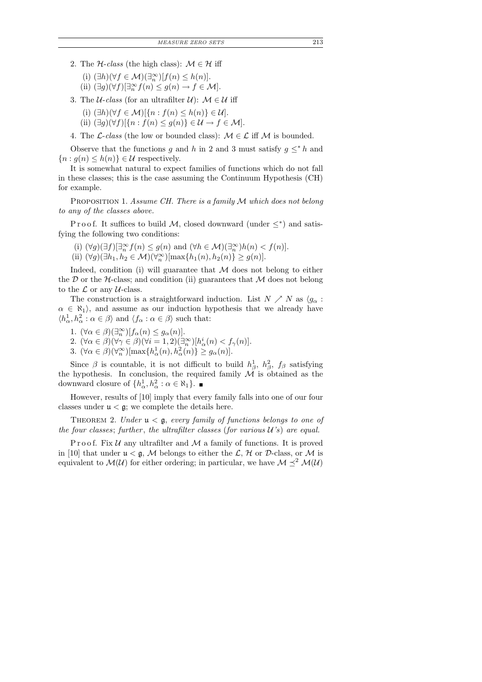- 2. The  $H$ -class (the high class):  $M \in \mathcal{H}$  iff
	- (i)  $(\exists h)(\forall f \in \mathcal{M})(\exists_n^{\infty})[f(n) \leq h(n)].$
	- (ii)  $(\exists g)(\forall f)[\exists_n^{\infty} f(n) \leq g(n) \rightarrow f \in \mathcal{M}].$
- 3. The *U-class* (for an ultrafilter *U*):  $M \in \mathcal{U}$  iff
	- (i)  $(\exists h)(\forall f \in \mathcal{M})[\{n : f(n) \leq h(n)\} \in \mathcal{U}].$
	- (ii)  $(\exists g)(\forall f)[\{n : f(n) \le g(n)\} \in \mathcal{U} \to f \in \mathcal{M}].$
- 4. The *L*-class (the low or bounded class):  $M \in \mathcal{L}$  iff M is bounded.

Observe that the functions g and h in 2 and 3 must satisfy  $g \leq^* h$  and  ${n: g(n) \leq h(n)} \in \mathcal{U}$  respectively.

It is somewhat natural to expect families of functions which do not fall in these classes; this is the case assuming the Continuum Hypothesis (CH) for example.

PROPOSITION 1. Assume CH. There is a family M which does not belong to any of the classes above.

Proof. It suffices to build M, closed downward (under  $\leq^*$ ) and satisfying the following two conditions:

- (i)  $(\forall g)(\exists f)[\exists_n^{\infty} f(n) \leq g(n)$  and  $(\forall h \in \mathcal{M})(\exists_n^{\infty})h(n) < f(n)]$ .
- (ii)  $(\forall g)(\exists h_1, h_2 \in \mathcal{M})(\forall_n^{\infty})[\max\{h_1(n), h_2(n)\} \ge g(n)].$

Indeed, condition (i) will guarantee that  $M$  does not belong to either the  $D$  or the  $H$ -class; and condition (ii) guarantees that  $M$  does not belong to the  $\mathcal L$  or any  $\mathcal U$ -class.

The construction is a straightforward induction. List  $N \nearrow N$  as  $\langle g_{\alpha} :$  $\alpha \in \aleph_1$ , and assume as our induction hypothesis that we already have  $\langle h_{\alpha}^1, h_{\alpha}^2 : \alpha \in \beta \rangle$  and  $\langle f_{\alpha} : \alpha \in \beta \rangle$  such that:

- 1.  $(\forall \alpha \in \beta)(\exists_n^{\infty})[f_{\alpha}(n) \leq g_{\alpha}(n)].$
- 2.  $(\forall \alpha \in \beta)(\forall \gamma \in \beta)(\forall i = 1, 2)(\exists_n^{\infty})[h_\alpha^i(n) < f_\gamma(n)].$
- 3.  $(\forall \alpha \in \beta)(\forall \alpha) [\max\{h_{\alpha}^1(n), h_{\alpha}^2(n)\} \ge g_{\alpha}(n)].$

Since  $\beta$  is countable, it is not difficult to build  $h^1_\beta$ ,  $h^2_\beta$ ,  $f_\beta$  satisfying the hypothesis. In conclusion, the required family  $\mathcal M$  is obtained as the downward closure of  $\{h_{\alpha}^1, h_{\alpha}^2 : \alpha \in \aleph_1\}.$ 

However, results of [10] imply that every family falls into one of our four classes under  $\mathfrak{u} < \mathfrak{g}$ ; we complete the details here.

THEOREM 2. Under  $\mathfrak{u} < \mathfrak{g}$ , every family of functions belongs to one of the four classes; further, the ultrafilter classes (for various  $U$ 's) are equal.

Proof. Fix  $U$  any ultrafilter and  $M$  a family of functions. It is proved in [10] that under  $\mathfrak{u} < \mathfrak{g}$ , M belongs to either the L, H or D-class, or M is equivalent to  $\mathcal{M}(\mathcal{U})$  for either ordering; in particular, we have  $\mathcal{M} \preceq^2 \mathcal{M}(\mathcal{U})$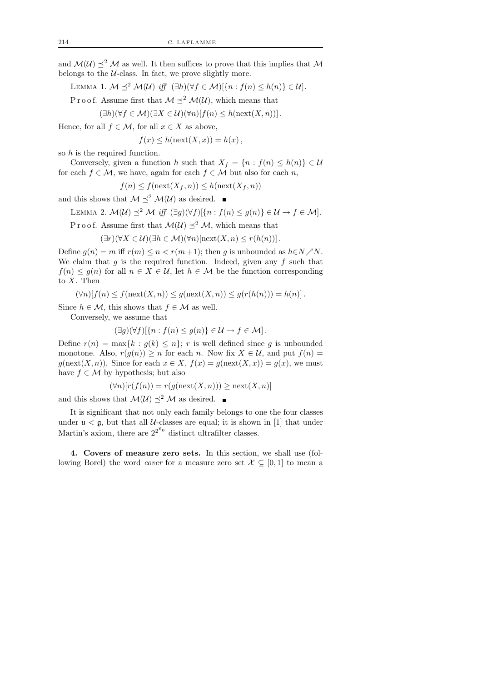and  $\mathcal{M}(\mathcal{U}) \preceq^2 \mathcal{M}$  as well. It then suffices to prove that this implies that  $\mathcal{M}$ belongs to the  $U$ -class. In fact, we prove slightly more.

LEMMA 1.  $M \preceq^2 M(U)$  iff  $(\exists h)(\forall f \in \mathcal{M})[\{n : f(n) \leq h(n)\} \in \mathcal{U}].$ 

P r o o f. Assume first that  $\mathcal{M} \prec^2 \mathcal{M}(\mathcal{U})$ , which means that

$$
(\exists h)(\forall f \in \mathcal{M})(\exists X \in \mathcal{U})(\forall n)[f(n) \leq h(\text{next}(X, n))].
$$

Hence, for all  $f \in \mathcal{M}$ , for all  $x \in X$  as above,

 $f(x) \leq h(\text{next}(X, x)) = h(x),$ 

so h is the required function.

Conversely, given a function h such that  $X_f = \{n : f(n) \leq h(n)\}\in \mathcal{U}$ for each  $f \in \mathcal{M}$ , we have, again for each  $f \in \mathcal{M}$  but also for each n,

$$
f(n) \le f(\operatorname{next}(X_f, n)) \le h(\operatorname{next}(X_f, n))
$$

and this shows that  $\mathcal{M} \prec^2 \mathcal{M}(\mathcal{U})$  as desired.

LEMMA 2. 
$$
\mathcal{M}(\mathcal{U}) \preceq^2 \mathcal{M}
$$
 iff  $(\exists g)(\forall f)[\{n : f(n) \leq g(n)\} \in \mathcal{U} \to f \in \mathcal{M}].$ 

P r o o f. Assume first that  $\mathcal{M}(\mathcal{U}) \preceq^2 \mathcal{M}$ , which means that

 $(\exists r)(\forall X \in \mathcal{U})(\exists h \in \mathcal{M})(\forall n)[\text{next}(X,n) \leq r(h(n))].$ 

Define  $g(n) = m$  iff  $r(m) \le n < r(m+1)$ ; then g is unbounded as  $h \in N \nearrow N$ . We claim that  $g$  is the required function. Indeed, given any  $f$  such that  $f(n) \leq g(n)$  for all  $n \in X \in \mathcal{U}$ , let  $h \in \mathcal{M}$  be the function corresponding to X. Then

 $(\forall n)[f(n) \leq f(\text{next}(X,n)) \leq g(\text{next}(X,n)) \leq g(r(h(n))) = h(n)].$ 

Since  $h \in \mathcal{M}$ , this shows that  $f \in \mathcal{M}$  as well.

Conversely, we assume that

$$
(\exists g)(\forall f)[\{n : f(n) \le g(n)\} \in \mathcal{U} \to f \in \mathcal{M}].
$$

Define  $r(n) = \max\{k : g(k) \leq n\}; r$  is well defined since g is unbounded monotone. Also,  $r(g(n)) \ge n$  for each n. Now fix  $X \in \mathcal{U}$ , and put  $f(n) =$  $g(\text{next}(X,n))$ . Since for each  $x \in X$ ,  $f(x) = g(\text{next}(X,x)) = g(x)$ , we must have  $f \in \mathcal{M}$  by hypothesis; but also

$$
(\forall n)[r(f(n)) = r(g(\text{next}(X, n))) \ge \text{next}(X, n)]
$$

and this shows that  $\mathcal{M}(\mathcal{U}) \preceq^2 \mathcal{M}$  as desired.

It is significant that not only each family belongs to one the four classes under  $\mathfrak{u} < \mathfrak{g}$ , but that all *U*-classes are equal; it is shown in [1] that under Martin's axiom, there are  $2^{2^{\aleph_0}}$  distinct ultrafilter classes.

4. Covers of measure zero sets. In this section, we shall use (following Borel) the word *cover* for a measure zero set  $\mathcal{X} \subseteq [0,1]$  to mean a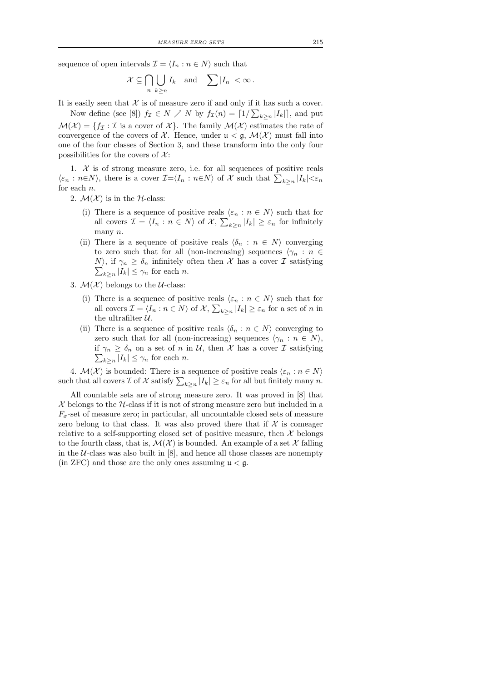sequence of open intervals  $\mathcal{I} = \langle I_n : n \in \mathbb{N} \rangle$  such that

$$
\mathcal{X} \subseteq \bigcap_{n} \bigcup_{k \ge n} I_k \quad \text{and} \quad \sum |I_n| < \infty \, .
$$

It is easily seen that  $X$  is of measure zero if and only if it has such a cover.

Now define (see [8])  $f_{\mathcal{I}} \in N \nearrow N$  by  $f_{\mathcal{I}}(n) = \lceil 1/\sum_{k \geq n} |I_k| \rceil$ , and put  $\mathcal{M}(\mathcal{X}) = \{f_{\mathcal{I}} : \mathcal{I} \text{ is a cover of } \mathcal{X}\}.$  The family  $\mathcal{M}(\mathcal{X})$  estimates the rate of convergence of the covers of  $\mathcal X$ . Hence, under  $\mathfrak u < \mathfrak g$ ,  $\mathcal M(\mathcal X)$  must fall into one of the four classes of Section 3, and these transform into the only four possibilities for the covers of  $\mathcal{X}$ :

1.  $X$  is of strong measure zero, i.e. for all sequences of positive reals  $\langle \varepsilon_n : n \in N \rangle$ , there is a cover  $\mathcal{I} = \langle I_n : n \in N \rangle$  of X such that  $\sum_{k \geq n} |I_k| < \varepsilon_n$ for each n.

2.  $\mathcal{M}(\mathcal{X})$  is in the *H*-class:

- (i) There is a sequence of positive reals  $\langle \varepsilon_n : n \in N \rangle$  such that for all covers  $\mathcal{I} = \langle I_n : n \in N \rangle$  of  $\mathcal{X}, \sum_{k \ge n} |I_k| \ge \varepsilon_n$  for infinitely many n.
- (ii) There is a sequence of positive reals  $\langle \delta_n : n \in N \rangle$  converging to zero such that for all (non-increasing) sequences  $\langle \gamma_n : n \in$  $N$ , if  $\gamma_n \geq \delta_n$  infinitely often then X has a cover T satisfying  $\sum_{k\geq n}|I_k|\leq \gamma_n$  for each n.

3.  $\mathcal{M}(\mathcal{X})$  belongs to the *U*-class:

- (i) There is a sequence of positive reals  $\langle \varepsilon_n : n \in N \rangle$  such that for all covers  $\mathcal{I} = \langle I_n : n \in N \rangle$  of  $\mathcal{X}, \sum_{k \ge n} |I_k| \ge \varepsilon_n$  for a set of  $n$  in the ultrafilter  $U$ .
- (ii) There is a sequence of positive reals  $\langle \delta_n : n \in N \rangle$  converging to zero such that for all (non-increasing) sequences  $\langle \gamma_n : n \in N \rangle$ , if  $\gamma_n \geq \delta_n$  on a set of n in U, then X has a cover T satisfying  $\sum_{k\geq n}|I_k|\leq \gamma_n$  for each n.

4.  $\mathcal{M}(\mathcal{X})$  is bounded: There is a sequence of positive reals  $\langle \varepsilon_n : n \in N \rangle$ such that all covers  $\mathcal I$  of  $\mathcal X$  satisfy  $\sum_{k\geq n}|I_k|\geq \varepsilon_n$  for all but finitely many  $n$ .

All countable sets are of strong measure zero. It was proved in [8] that  $\mathcal X$  belongs to the  $\mathcal H$ -class if it is not of strong measure zero but included in a  $F_{\sigma}$ -set of measure zero; in particular, all uncountable closed sets of measure zero belong to that class. It was also proved there that if  $\mathcal X$  is comeager relative to a self-supporting closed set of positive measure, then  $X$  belongs to the fourth class, that is,  $\mathcal{M}(\mathcal{X})$  is bounded. An example of a set X falling in the  $U$ -class was also built in  $[8]$ , and hence all those classes are nonempty (in ZFC) and those are the only ones assuming  $\mu < \mathfrak{g}$ .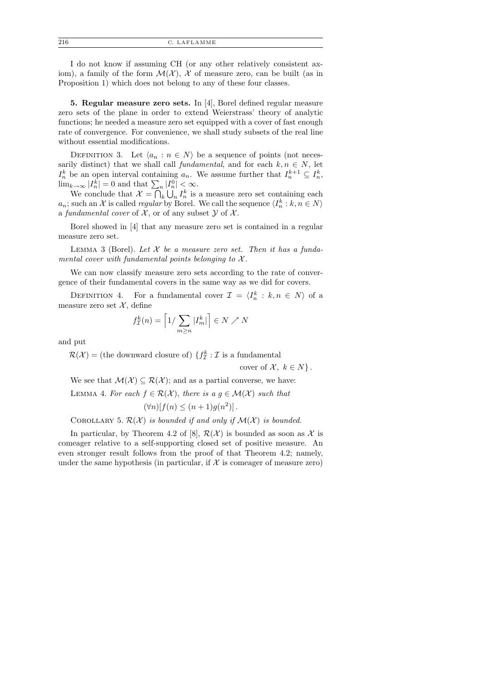I do not know if assuming CH (or any other relatively consistent axiom), a family of the form  $\mathcal{M}(\mathcal{X})$ , X of measure zero, can be built (as in Proposition 1) which does not belong to any of these four classes.

5. Regular measure zero sets. In [4], Borel defined regular measure zero sets of the plane in order to extend Weierstrass' theory of analytic functions; he needed a measure zero set equipped with a cover of fast enough rate of convergence. For convenience, we shall study subsets of the real line without essential modifications.

DEFINITION 3. Let  $\langle a_n : n \in N \rangle$  be a sequence of points (not necessarily distinct) that we shall call fundamental, and for each  $k, n \in N$ , let  $I_n^k$  be an open interval containing  $a_n$ . We assume further that  $I_n^{k+1} \subseteq I_n^k$ ,  $\lim_{k\to\infty} |I_n^k|=0$  and that  $\sum_n |I_n^0| < \infty$ .

We conclude that  $\mathcal{X} = \bigcap_k \bigcup_n I_n^k$  is a measure zero set containing each  $a_n$ ; such an X is called *regular* by Borel. We call the sequence  $\langle I_n^k : k, n \in N \rangle$ a fundamental cover of  $\mathcal{X}$ , or of any subset  $\mathcal{Y}$  of  $\mathcal{X}$ .

Borel showed in [4] that any measure zero set is contained in a regular measure zero set.

LEMMA 3 (Borel). Let  $X$  be a measure zero set. Then it has a fundamental cover with fundamental points belonging to  $\mathcal{X}$ .

We can now classify measure zero sets according to the rate of convergence of their fundamental covers in the same way as we did for covers.

DEFINITION 4. For a fundamental cover  $\mathcal{I} = \langle I_n^k : k, n \in N \rangle$  of a measure zero set  $\mathcal{X}$ , define

$$
f_{\mathcal{I}}^{k}(n) = \left[1/\sum_{m \ge n} |I_{m}^{k}| \right] \in N \nearrow N
$$

and put

 $\mathcal{R}(\mathcal{X})$  = (the downward closure of)  $\{f^k_\mathcal{I} : \mathcal{I} \text{ is a fundamental}\}$ 

cover of  $\mathcal{X}, k \in N$ .

We see that  $\mathcal{M}(\mathcal{X}) \subseteq \mathcal{R}(\mathcal{X})$ ; and as a partial converse, we have: LEMMA 4. For each  $f \in \mathcal{R}(\mathcal{X})$ , there is  $a, g \in \mathcal{M}(\mathcal{X})$  such that  $(\forall n)[f(n) \leq (n+1)g(n^2)].$ 

COROLLARY 5.  $\mathcal{R}(\mathcal{X})$  is bounded if and only if  $\mathcal{M}(\mathcal{X})$  is bounded.

In particular, by Theorem 4.2 of [8],  $\mathcal{R}(\mathcal{X})$  is bounded as soon as X is comeager relative to a self-supporting closed set of positive measure. An even stronger result follows from the proof of that Theorem 4.2; namely, under the same hypothesis (in particular, if  $\mathcal X$  is comeager of measure zero)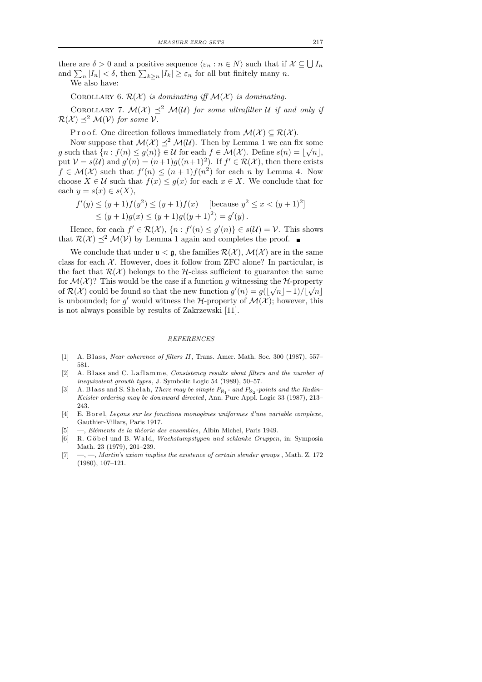there are  $\delta > 0$  and a positive sequence  $\langle \varepsilon_n : n \in N \rangle$  such that if  $\mathcal{X} \subseteq \bigcup I_n$ and  $\sum_{n}|I_n| < \delta$ , then  $\sum_{k\geq n}|I_k| \geq \varepsilon_n$  for all but finitely many n.

We also have:

## COROLLARY 6.  $\mathcal{R}(\mathcal{X})$  is dominating iff  $\mathcal{M}(\mathcal{X})$  is dominating.

COROLLARY 7.  $\mathcal{M}(\mathcal{X}) \preceq^2 \mathcal{M}(\mathcal{U})$  for some ultrafilter U if and only if  $\mathcal{R}(\mathcal{X}) \preceq^2 \mathcal{M}(\mathcal{V})$  for some  $\mathcal{V}$ .

P r o o f. One direction follows immediately from  $\mathcal{M}(\mathcal{X}) \subseteq \mathcal{R}(\mathcal{X})$ .

Now suppose that  $\mathcal{M}(\mathcal{X}) \preceq^2 \mathcal{M}(\mathcal{U})$ . Then by Lemma 1 we can fix some g such that  $\{n : f(n) \leq g(n)\} \in U$  for each  $f \in \mathcal{M}(\mathcal{X})$ . Define  $s(n) = |\sqrt{n}|$ , put  $V = s(\mathcal{U})$  and  $g'(n) = (n+1)g((n+1)^2)$ . If  $f' \in \mathcal{R}(\mathcal{X})$ , then there exists  $f \in \mathcal{M}(\mathcal{X})$  such that  $f'(n) \leq (n+1)f(n^2)$  for each n by Lemma 4. Now choose  $X \in \mathcal{U}$  such that  $f(x) \leq g(x)$  for each  $x \in X$ . We conclude that for each  $y = s(x) \in s(X)$ ,

$$
f'(y) \le (y+1)f(y^2) \le (y+1)f(x) \quad \text{[because } y^2 \le x < (y+1)^2\text{]}\le (y+1)g(x) \le (y+1)g((y+1)^2) = g'(y).
$$

Hence, for each  $f' \in \mathcal{R}(\mathcal{X})$ ,  $\{n : f'(n) \leq g'(n)\} \in s(\mathcal{U}) = \mathcal{V}$ . This shows that  $\mathcal{R}(\mathcal{X}) \preceq^2 \mathcal{M}(\mathcal{V})$  by Lemma 1 again and completes the proof.

We conclude that under  $\mathfrak{u} < \mathfrak{g}$ , the families  $\mathcal{R}(\mathcal{X}), \mathcal{M}(\mathcal{X})$  are in the same class for each  $X$ . However, does it follow from ZFC alone? In particular, is the fact that  $\mathcal{R}(\mathcal{X})$  belongs to the H-class sufficient to guarantee the same for  $\mathcal{M}(\mathcal{X})$ ? This would be the case if a function g witnessing the  $\mathcal{H}$ -property of  $\mathcal{R}(\mathcal{X})$  could be found so that the new function  $g'(n) = g(|\sqrt{n}|-1)/|\sqrt{n}|$ is unbounded; for g' would witness the H-property of  $\mathcal{M}(\mathcal{X})$ ; however, this is not always possible by results of Zakrzewski [11].

#### REFERENCES

- [1] A. Blass, Near coherence of filters II, Trans. Amer. Math. Soc. 300 (1987),  $557-$ 581.
- [2] A. Blass and C. Laflamme, Consistency results about filters and the number of inequivalent growth types, J. Symbolic Logic 54 (1989), 50–57.
- [3] A. Blass and S. Shelah, There may be simple  $P_{\aleph_1}$  and  $P_{\aleph_2}$ -points and the Rudin-Keisler ordering may be downward directed, Ann. Pure Appl. Logic 33 (1987), 213– 243.
- [4] E. B or el, Leçons sur les fonctions monogènes uniformes d'une variable complexe, Gauthier-Villars, Paris 1917.
- [5] —, Eléments de la théorie des ensembles, Albin Michel, Paris 1949.
- [6] R. Göbel und B. Wald, Wachstumpstypen und schlanke Gruppen, in: Symposia Math. 23 (1979), 201–239.
- $[7] \quad -,-$ , Martin's axiom implies the existence of certain slender groups, Math. Z. 172 (1980), 107–121.